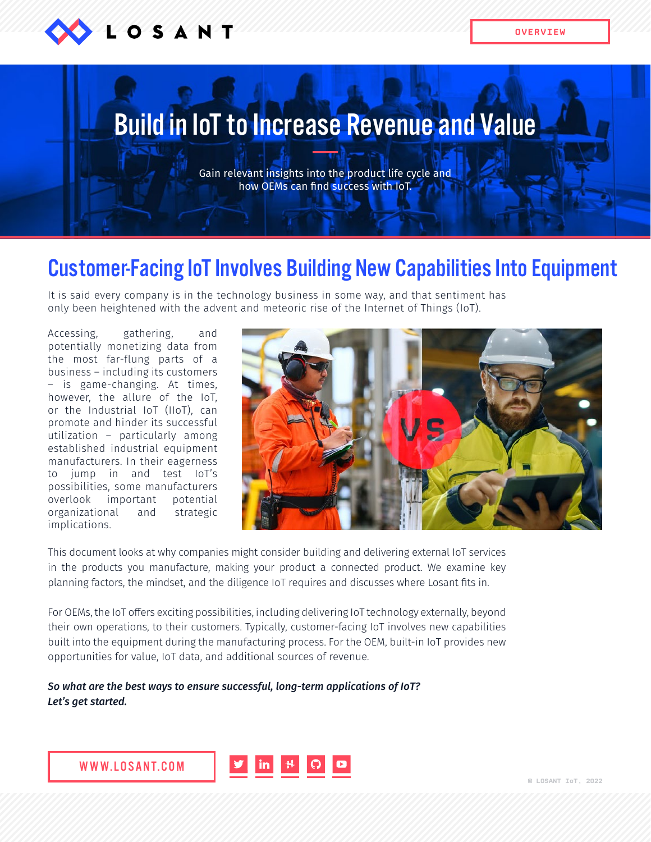

**OVERVIEW**

# Build in IoT to Increase Revenue and Value

Gain relevant insights into the product life cycle and how OEMs can find success with IoT.

### Customer-Facing IoT Involves Building New Capabilities Into Equipment

It is said every company is in the technology business in some way, and that sentiment has only been heightened with the advent and meteoric rise of the Internet of Things (IoT).

Accessing, gathering, and potentially monetizing data from the most far-flung parts of a business – including its customers – is game-changing. At times, however, the allure of the IoT, or the Industrial IoT (IIoT), can promote and hinder its successful utilization – particularly among established industrial equipment manufacturers. In their eagerness to jump in and test IoT's possibilities, some manufacturers overlook important potential organizational and strategic implications.



This document looks at why companies might consider building and delivering external IoT services in the products you manufacture, making your product a connected product. We examine key planning factors, the mindset, and the diligence IoT requires and discusses where Losant fits in.

For OEMs, the IoT offers exciting possibilities, including delivering IoT technology externally, beyond their own operations, to their customers. Typically, customer-facing IoT involves new capabilities built into the equipment during the manufacturing process. For the OEM, built-in IoT provides new opportunities for value, IoT data, and additional sources of revenue.

*So what are the best ways to ensure successful, long-term applications of IoT? Let's get started.*

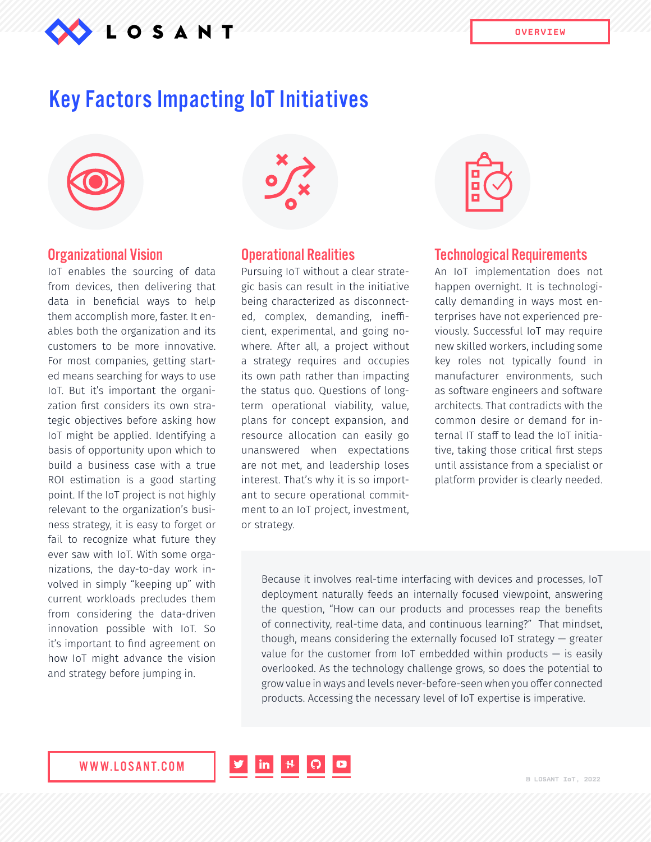

### Key Factors Impacting IoT Initiatives



#### Organizational Vision

IoT enables the sourcing of data from devices, then delivering that data in beneficial ways to help them accomplish more, faster. It enables both the organization and its customers to be more innovative. For most companies, getting started means searching for ways to use IoT. But it's important the organization first considers its own strategic objectives before asking how IoT might be applied. Identifying a basis of opportunity upon which to build a business case with a true ROI estimation is a good starting point. If the IoT project is not highly relevant to the organization's business strategy, it is easy to forget or fail to recognize what future they ever saw with IoT. With some organizations, the day-to-day work involved in simply "keeping up" with current workloads precludes them from considering the data-driven innovation possible with IoT. So it's important to find agreement on how IoT might advance the vision and strategy before jumping in.

#### Operational Realities

Pursuing IoT without a clear strategic basis can result in the initiative being characterized as disconnected, complex, demanding, inefficient, experimental, and going nowhere. After all, a project without a strategy requires and occupies its own path rather than impacting the status quo. Questions of longterm operational viability, value, plans for concept expansion, and resource allocation can easily go unanswered when expectations are not met, and leadership loses interest. That's why it is so important to secure operational commitment to an IoT project, investment, or strategy.



#### Technological Requirements

An IoT implementation does not happen overnight. It is technologically demanding in ways most enterprises have not experienced previously. Successful IoT may require new skilled workers, including some key roles not typically found in manufacturer environments, such as software engineers and software architects. That contradicts with the common desire or demand for internal IT staff to lead the IoT initiative, taking those critical first steps until assistance from a specialist or platform provider is clearly needed.

Because it involves real-time interfacing with devices and processes, IoT deployment naturally feeds an internally focused viewpoint, answering the question, "How can our products and processes reap the benefits of connectivity, real-time data, and continuous learning?" That mindset, though, means considering the externally focused IoT strategy — greater value for the customer from IoT embedded within products  $-$  is easily overlooked. As the technology challenge grows, so does the potential to grow value in ways and levels never-before-seen when you offer connected products. Accessing the necessary level of IoT expertise is imperative.

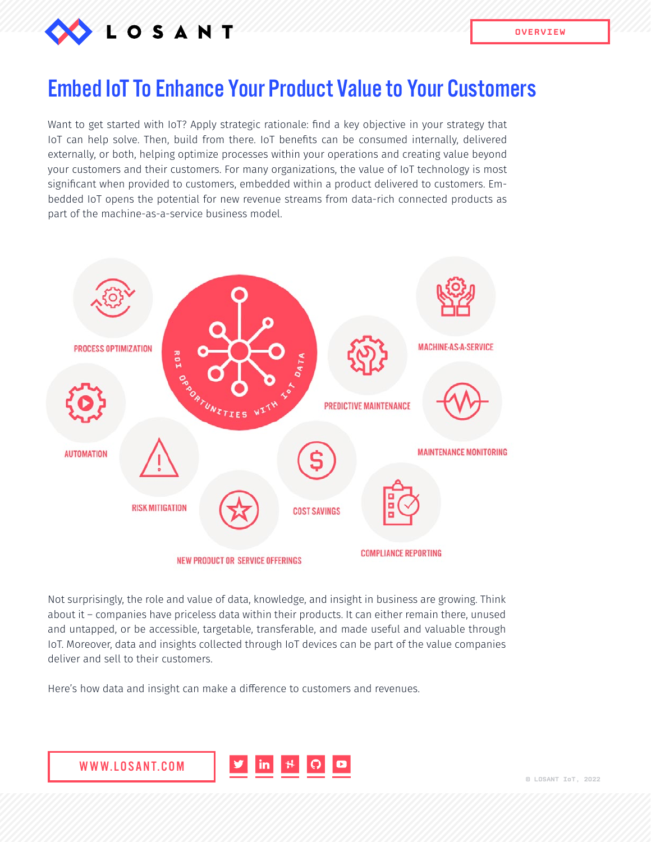

# Embed IoT To Enhance Your Product Value to Your Customers

Want to get started with IoT? Apply strategic rationale: find a key objective in your strategy that IoT can help solve. Then, build from there. IoT benefits can be consumed internally, delivered externally, or both, helping optimize processes within your operations and creating value beyond your customers and their customers. For many organizations, the value of IoT technology is most significant when provided to customers, embedded within a product delivered to customers. Embedded IoT opens the potential for new revenue streams from data-rich connected products as part of the machine-as-a-service business model.



Not surprisingly, the role and value of data, knowledge, and insight in business are growing. Think about it – companies have priceless data within their products. It can either remain there, unused and untapped, or be accessible, targetable, transferable, and made useful and valuable through IoT. Moreover, data and insights collected through IoT devices can be part of the value companies deliver and sell to their customers.

Here's how data and insight can make a difference to customers and revenues.

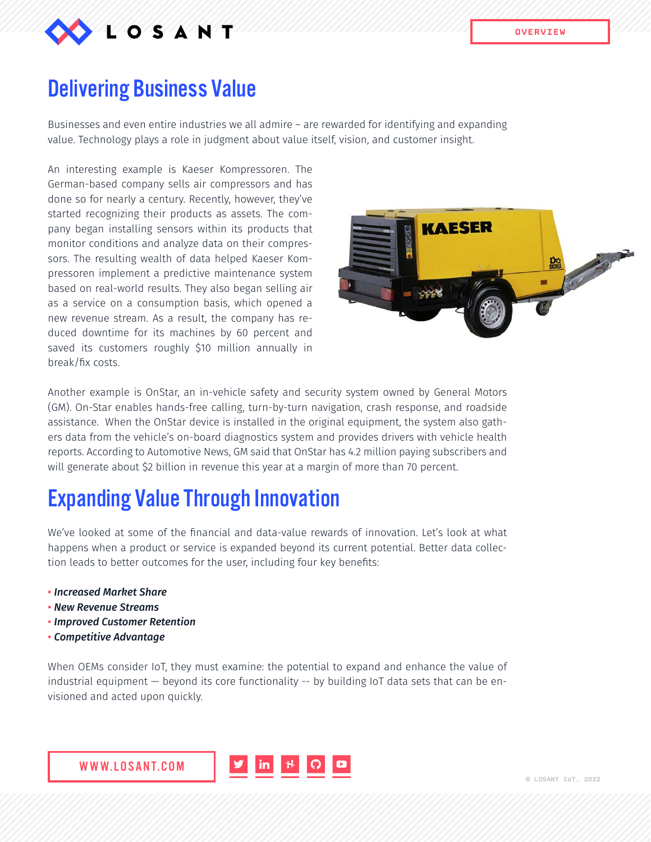

### Delivering Business Value

Businesses and even entire industries we all admire – are rewarded for identifying and expanding value. Technology plays a role in judgment about value itself, vision, and customer insight.

An interesting example is Kaeser Kompressoren. The German-based company sells air compressors and has done so for nearly a century. Recently, however, they've started recognizing their products as assets. The company began installing sensors within its products that monitor conditions and analyze data on their compressors. The resulting wealth of data helped Kaeser Kompressoren implement a predictive maintenance system based on real-world results. They also began selling air as a service on a consumption basis, which opened a new revenue stream. As a result, the company has reduced downtime for its machines by 60 percent and saved its customers roughly \$10 million annually in break/fix costs.



Another example is OnStar, an in-vehicle safety and security system owned by General Motors (GM). On-Star enables hands-free calling, turn-by-turn navigation, crash response, and roadside assistance. When the OnStar device is installed in the original equipment, the system also gathers data from the vehicle's on-board diagnostics system and provides drivers with vehicle health reports. According to Automotive News, GM said that OnStar has 4.2 million paying subscribers and will generate about \$2 billion in revenue this year at a margin of more than 70 percent.

### Expanding Value Through Innovation

We've looked at some of the financial and data-value rewards of innovation. Let's look at what happens when a product or service is expanded beyond its current potential. Better data collection leads to better outcomes for the user, including four key benefits:

- *Increased Market Share*
- *New Revenue Streams*
- *Improved Customer Retention*
- *Competitive Advantage*

When OEMs consider IoT, they must examine: the potential to expand and enhance the value of industrial equipment — beyond its core functionality -- by building IoT data sets that can be envisioned and acted upon quickly.

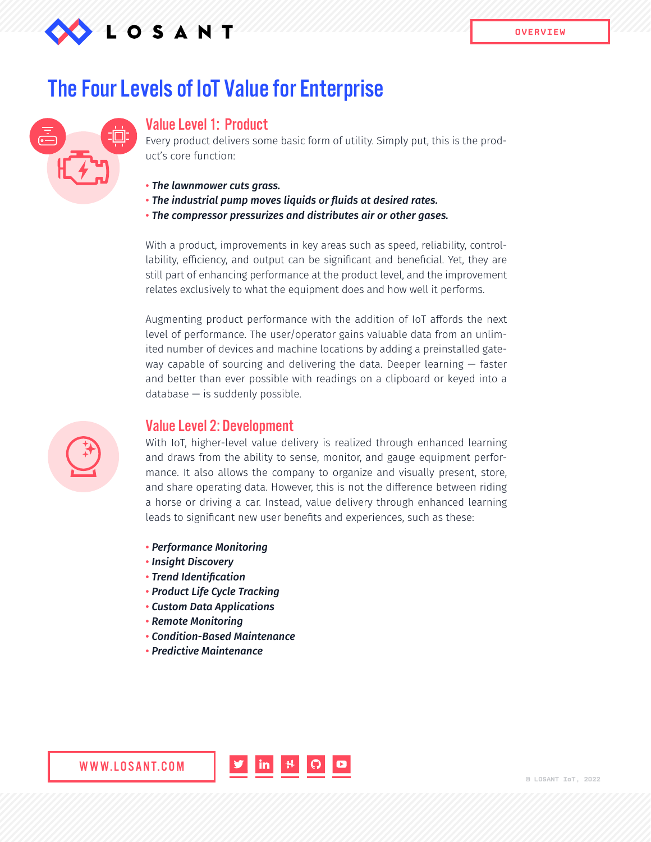

### The Four Levels of IoT Value for Enterprise



#### Value Level 1: Product

Every product delivers some basic form of utility. Simply put, this is the product's core function:

- *The lawnmower cuts grass.*
- *The industrial pump moves liquids or fluids at desired rates.*
- *The compressor pressurizes and distributes air or other gases.*

With a product, improvements in key areas such as speed, reliability, controllability, efficiency, and output can be significant and beneficial. Yet, they are still part of enhancing performance at the product level, and the improvement relates exclusively to what the equipment does and how well it performs.

Augmenting product performance with the addition of IoT affords the next level of performance. The user/operator gains valuable data from an unlimited number of devices and machine locations by adding a preinstalled gateway capable of sourcing and delivering the data. Deeper learning — faster and better than ever possible with readings on a clipboard or keyed into a  $database - is suddenly possible.$ 



### Value Level 2: Development

With IoT, higher-level value delivery is realized through enhanced learning and draws from the ability to sense, monitor, and gauge equipment performance. It also allows the company to organize and visually present, store, and share operating data. However, this is not the difference between riding a horse or driving a car. Instead, value delivery through enhanced learning leads to significant new user benefits and experiences, such as these:

- *Performance Monitoring*
- • *Insight Discovery*
- • *Trend Identification*
- • *Product Life Cycle Tracking*
- • *Custom Data Applications*
- • *Remote Monitoring*

WWW.LOSANT.COM

- • *Condition-Based Maintenance*
- • *Predictive Maintenance*

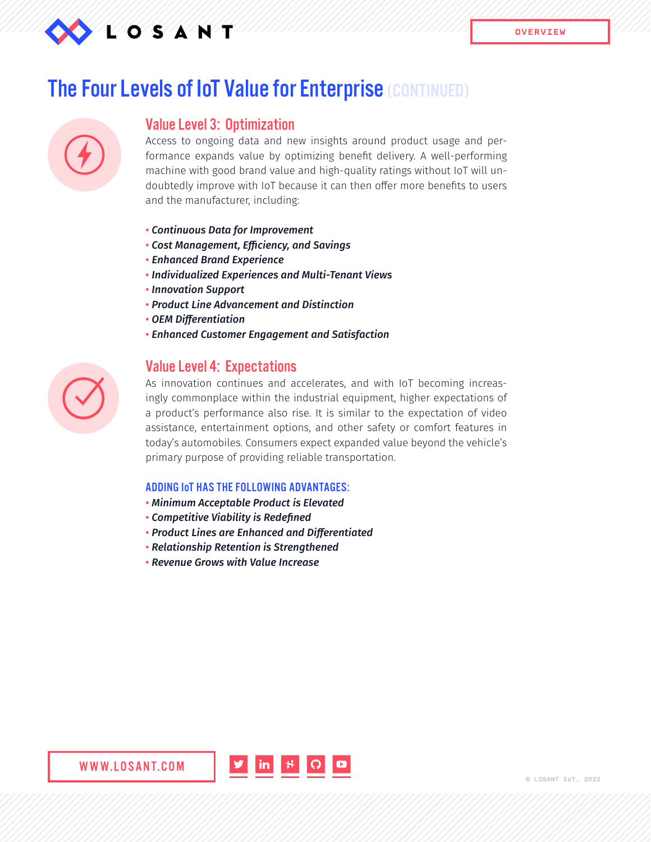

### **The Four Levels of IoT Value for Enterprise (CONTINUED)**

### Value Level 3: Optimization

Access to ongoing data and new insights around product usage and performance expands value by optimizing benefit delivery. A well-performing machine with good brand value and high-quality ratings without IoT will undoubtedly improve with IoT because it can then offer more benefits to users and the manufacturer, including:

- • *Continuous Data for Improvement*
- • *Cost Management, Efficiency, and Savings*
- *Enhanced Brand Experience*
- • *Individualized Experiences and Multi-Tenant Views*
- • *Innovation Support*
- • *Product Line Advancement and Distinction*
- • *OEM Differentiation*
- • *Enhanced Customer Engagement and Satisfaction*

### Value Level 4: Expectations

As innovation continues and accelerates, and with IoT becoming increasingly commonplace within the industrial equipment, higher expectations of a product's performance also rise. It is similar to the expectation of video assistance, entertainment options, and other safety or comfort features in today's automobiles. Consumers expect expanded value beyond the vehicle's primary purpose of providing reliable transportation.

#### ADDING IoT HAS THE FOLLOWING ADVANTAGES:

- • *Minimum Acceptable Product is Elevated*
- • *Competitive Viability is Redefined*
- • *Product Lines are Enhanced and Differentiated*
- • *Relationship Retention is Strengthened*
- • *Revenue Grows with Value Increase*

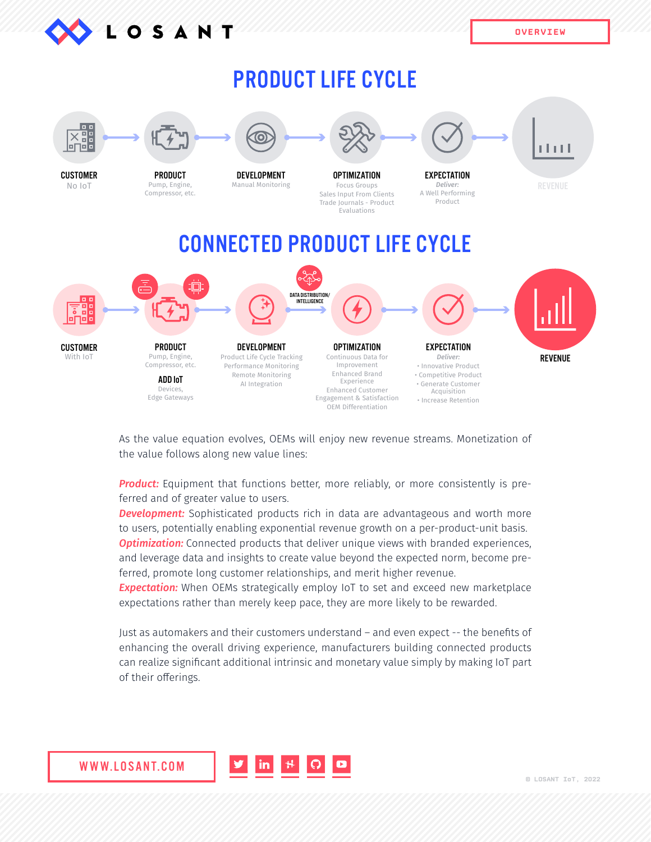

# PRODUCT LIFE CYCLE



As the value equation evolves, OEMs will enjoy new revenue streams. Monetization of the value follows along new value lines:

**Product:** Equipment that functions better, more reliably, or more consistently is preferred and of greater value to users.

*Development:* Sophisticated products rich in data are advantageous and worth more to users, potentially enabling exponential revenue growth on a per-product-unit basis. **Optimization:** Connected products that deliver unique views with branded experiences, and leverage data and insights to create value beyond the expected norm, become preferred, promote long customer relationships, and merit higher revenue.

*Expectation:* When OEMs strategically employ IoT to set and exceed new marketplace expectations rather than merely keep pace, they are more likely to be rewarded.

Just as automakers and their customers understand – and even expect -- the benefits of enhancing the overall driving experience, manufacturers building connected products can realize significant additional intrinsic and monetary value simply by making IoT part of their offerings.

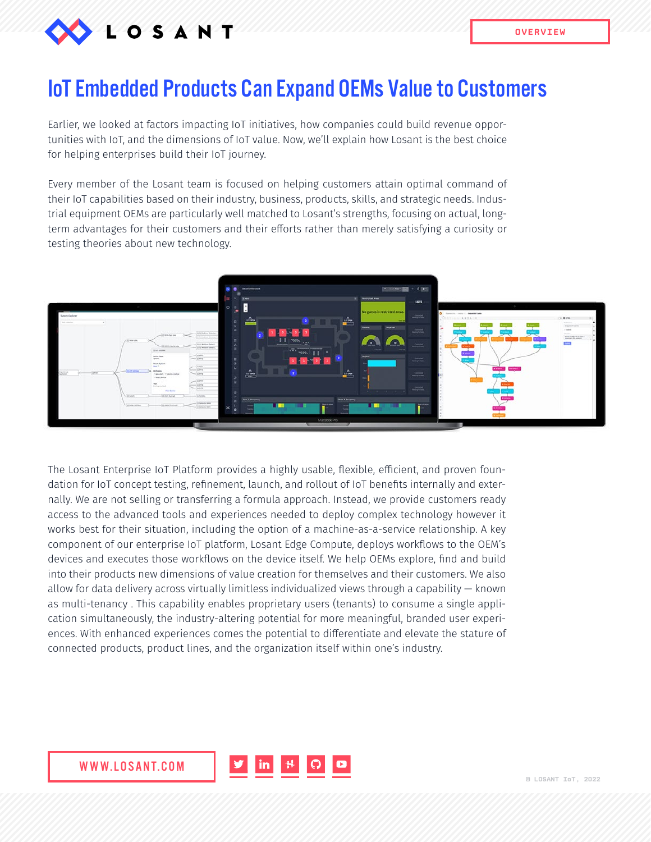

### IoT Embedded Products Can Expand OEMs Value to Customers

Earlier, we looked at factors impacting IoT initiatives, how companies could build revenue opportunities with IoT, and the dimensions of IoT value. Now, we'll explain how Losant is the best choice for helping enterprises build their IoT journey.

Every member of the Losant team is focused on helping customers attain optimal command of their IoT capabilities based on their industry, business, products, skills, and strategic needs. Industrial equipment OEMs are particularly well matched to Losant's strengths, focusing on actual, longterm advantages for their customers and their efforts rather than merely satisfying a curiosity or testing theories about new technology.



The Losant Enterprise IoT Platform provides a highly usable, flexible, efficient, and proven foundation for IoT concept testing, refinement, launch, and rollout of IoT benefits internally and externally. We are not selling or transferring a formula approach. Instead, we provide customers ready access to the advanced tools and experiences needed to deploy complex technology however it works best for their situation, including the option of a machine-as-a-service relationship. A key component of our enterprise IoT platform, Losant Edge Compute, deploys workflows to the OEM's devices and executes those workflows on the device itself. We help OEMs explore, find and build into their products new dimensions of value creation for themselves and their customers. We also allow for data delivery across virtually limitless individualized views through a capability — known as multi-tenancy . This capability enables proprietary users (tenants) to consume a single application simultaneously, the industry-altering potential for more meaningful, branded user experiences. With enhanced experiences comes the potential to differentiate and elevate the stature of connected products, product lines, and the organization itself within one's industry.

 $|$  in  $|$